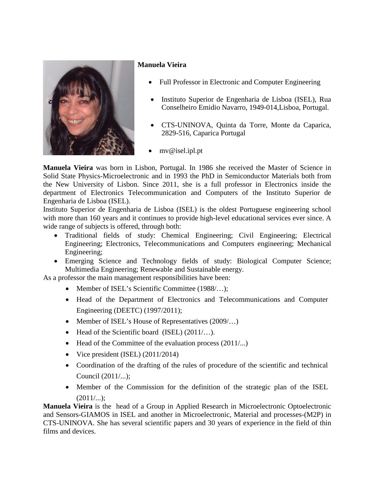

## **Manuela Vieira**

- Full Professor in Electronic and Computer Engineering
- Instituto Superior de Engenharia de Lisboa (ISEL), Rua Conselheiro Emidio Navarro, 1949-014,Lisboa, Portugal.
- CTS-UNINOVA, Quinta da Torre, Monte da Caparica, 2829-516, Caparica Portugal
- mv@isel.ipl.pt

**Manuela Vieira** was born in Lisbon, Portugal. In 1986 she received the Master of Science in Solid State Physics-Microelectronic and in 1993 the PhD in Semiconductor Materials both from the New University of Lisbon. Since 2011, she is a full professor in Electronics inside the department of Electronics Telecommunication and Computers of the Instituto Superior de Engenharia de Lisboa (ISEL).

Instituto Superior de Engenharia de Lisboa (ISEL) is the oldest Portuguese engineering school with more than 160 years and it continues to provide high-level educational services ever since. A wide range of subjects is offered, through both:

- Traditional fields of study: Chemical Engineering; Civil Engineering; Electrical Engineering; Electronics, Telecommunications and Computers engineering; Mechanical Engineering;
- Emerging Science and Technology fields of study: Biological Computer Science; Multimedia Engineering; Renewable and Sustainable energy.

As a professor the main management responsibilities have been:

- Member of ISEL's Scientific Committee (1988/...);
- Head of the Department of Electronics and Telecommunications and Computer Engineering (DEETC) (1997/2011);
- Member of ISEL's House of Representatives  $(2009)...$
- Head of the Scientific board (ISEL) (2011/...).
- Head of the Committee of the evaluation process (2011/...)
- Vice president (ISEL)  $(2011/2014)$
- Coordination of the drafting of the rules of procedure of the scientific and technical Council (2011/...);
- Member of the Commission for the definition of the strategic plan of the ISEL  $(2011/...);$

**Manuela Vieira** is the head of a Group in Applied Research in Microelectronic Optoelectronic and Sensors-GIAMOS in ISEL and another in Microelectronic, Material and processes-(M2P) in CTS-UNINOVA. She has several scientific papers and 30 years of experience in the field of thin films and devices.